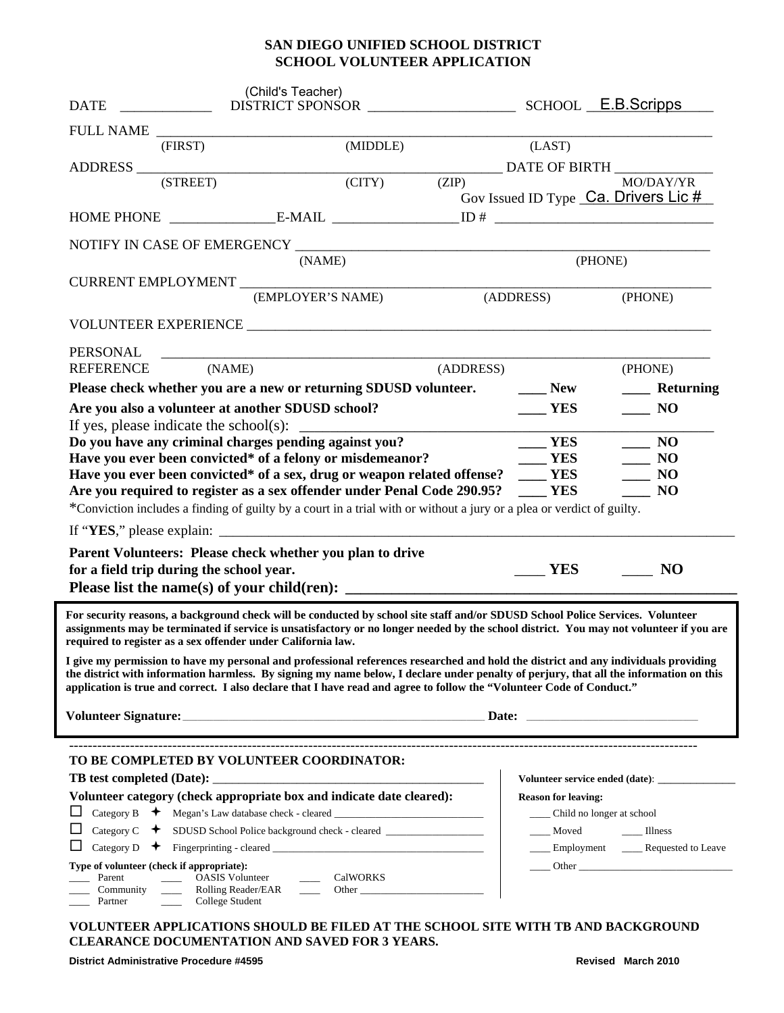## **SAN DIEGO UNIFIED SCHOOL DISTRICT SCHOOL VOLUNTEER APPLICATION**

| <b>DATE</b>                                                                    | (Child's Teacher)                                                                                                                                                                                                                                                                                                                                                                                                                                                                                                                                          |           |                                  |                                                                                                                                                                                                                                |
|--------------------------------------------------------------------------------|------------------------------------------------------------------------------------------------------------------------------------------------------------------------------------------------------------------------------------------------------------------------------------------------------------------------------------------------------------------------------------------------------------------------------------------------------------------------------------------------------------------------------------------------------------|-----------|----------------------------------|--------------------------------------------------------------------------------------------------------------------------------------------------------------------------------------------------------------------------------|
|                                                                                |                                                                                                                                                                                                                                                                                                                                                                                                                                                                                                                                                            |           |                                  |                                                                                                                                                                                                                                |
| (FIRST)                                                                        | (MIDDLE)                                                                                                                                                                                                                                                                                                                                                                                                                                                                                                                                                   |           | (LAST)                           |                                                                                                                                                                                                                                |
|                                                                                |                                                                                                                                                                                                                                                                                                                                                                                                                                                                                                                                                            |           |                                  |                                                                                                                                                                                                                                |
| (STREET)                                                                       | (CITY)                                                                                                                                                                                                                                                                                                                                                                                                                                                                                                                                                     | (ZIP)     |                                  | MO/DAY/YR                                                                                                                                                                                                                      |
|                                                                                |                                                                                                                                                                                                                                                                                                                                                                                                                                                                                                                                                            |           |                                  | Gov Issued ID Type Ca. Drivers Lic #                                                                                                                                                                                           |
|                                                                                |                                                                                                                                                                                                                                                                                                                                                                                                                                                                                                                                                            |           |                                  |                                                                                                                                                                                                                                |
|                                                                                |                                                                                                                                                                                                                                                                                                                                                                                                                                                                                                                                                            |           |                                  |                                                                                                                                                                                                                                |
|                                                                                | (NAME)                                                                                                                                                                                                                                                                                                                                                                                                                                                                                                                                                     |           | (PHONE)                          |                                                                                                                                                                                                                                |
| CURRENT EMPLOYMENT                                                             |                                                                                                                                                                                                                                                                                                                                                                                                                                                                                                                                                            |           |                                  |                                                                                                                                                                                                                                |
|                                                                                | (EMPLOYER'S NAME)                                                                                                                                                                                                                                                                                                                                                                                                                                                                                                                                          |           | (ADDRESS)                        | (PHONE)                                                                                                                                                                                                                        |
|                                                                                |                                                                                                                                                                                                                                                                                                                                                                                                                                                                                                                                                            |           |                                  |                                                                                                                                                                                                                                |
| <b>PERSONAL</b>                                                                | <u> 2000 - Jan James James James James James James James James James James James James James James James James Ja</u>                                                                                                                                                                                                                                                                                                                                                                                                                                      |           |                                  |                                                                                                                                                                                                                                |
| <b>REFERENCE</b>                                                               | (NAME)                                                                                                                                                                                                                                                                                                                                                                                                                                                                                                                                                     | (ADDRESS) |                                  | (PHONE)                                                                                                                                                                                                                        |
|                                                                                | Please check whether you are a new or returning SDUSD volunteer.                                                                                                                                                                                                                                                                                                                                                                                                                                                                                           |           | $\rule{1em}{0.15mm}$ New         | ____ Returning                                                                                                                                                                                                                 |
|                                                                                | Are you also a volunteer at another SDUSD school?                                                                                                                                                                                                                                                                                                                                                                                                                                                                                                          |           | <b>YES</b>                       | $\sim$ NO                                                                                                                                                                                                                      |
|                                                                                |                                                                                                                                                                                                                                                                                                                                                                                                                                                                                                                                                            |           |                                  |                                                                                                                                                                                                                                |
| Do you have any criminal charges pending against you?                          |                                                                                                                                                                                                                                                                                                                                                                                                                                                                                                                                                            |           | $\rule{1em}{0.15mm}$ YES         | $\frac{1}{2}$ NO                                                                                                                                                                                                               |
| Have you ever been convicted* of a felony or misdemeanor?<br>$\frac{1}{2}$ YES |                                                                                                                                                                                                                                                                                                                                                                                                                                                                                                                                                            |           |                                  | $\equiv$ NO                                                                                                                                                                                                                    |
|                                                                                | Have you ever been convicted* of a sex, drug or weapon related offense? ____ YES                                                                                                                                                                                                                                                                                                                                                                                                                                                                           |           |                                  | $\sim$ NO                                                                                                                                                                                                                      |
| Are you required to register as a sex offender under Penal Code 290.95?        |                                                                                                                                                                                                                                                                                                                                                                                                                                                                                                                                                            |           | $\mathbf{YES}$                   | $\sim$ NO                                                                                                                                                                                                                      |
|                                                                                | *Conviction includes a finding of guilty by a court in a trial with or without a jury or a plea or verdict of guilty.                                                                                                                                                                                                                                                                                                                                                                                                                                      |           |                                  |                                                                                                                                                                                                                                |
|                                                                                | If "YES," please explain: $\sqrt{2}$ = $\sqrt{2}$ = $\sqrt{2}$ = $\sqrt{2}$ = $\sqrt{2}$ = $\sqrt{2}$ = $\sqrt{2}$ = $\sqrt{2}$ = $\sqrt{2}$ = $\sqrt{2}$ = $\sqrt{2}$ = $\sqrt{2}$ = $\sqrt{2}$ = $\sqrt{2}$ = $\sqrt{2}$ = $\sqrt{2}$ = $\sqrt{2}$ = $\sqrt{2}$ = $\sqrt{2}$ = $\sqrt{2$                                                                                                                                                                                                                                                                 |           |                                  |                                                                                                                                                                                                                                |
|                                                                                | Parent Volunteers: Please check whether you plan to drive                                                                                                                                                                                                                                                                                                                                                                                                                                                                                                  |           |                                  |                                                                                                                                                                                                                                |
| for a field trip during the school year.                                       |                                                                                                                                                                                                                                                                                                                                                                                                                                                                                                                                                            |           | <b>YES</b>                       | N <sub>O</sub>                                                                                                                                                                                                                 |
|                                                                                |                                                                                                                                                                                                                                                                                                                                                                                                                                                                                                                                                            |           |                                  |                                                                                                                                                                                                                                |
| required to register as a sex offender under California law.                   | For security reasons, a background check will be conducted by school site staff and/or SDUSD School Police Services. Volunteer<br>assignments may be terminated if service is unsatisfactory or no longer needed by the school district. You may not volunteer if you are<br>I give my permission to have my personal and professional references researched and hold the district and any individuals providing<br>the district with information harmless. By signing my name below, I declare under penalty of perjury, that all the information on this |           |                                  |                                                                                                                                                                                                                                |
|                                                                                | application is true and correct. I also declare that I have read and agree to follow the "Volunteer Code of Conduct."                                                                                                                                                                                                                                                                                                                                                                                                                                      |           |                                  |                                                                                                                                                                                                                                |
|                                                                                |                                                                                                                                                                                                                                                                                                                                                                                                                                                                                                                                                            |           |                                  |                                                                                                                                                                                                                                |
|                                                                                |                                                                                                                                                                                                                                                                                                                                                                                                                                                                                                                                                            |           |                                  |                                                                                                                                                                                                                                |
|                                                                                | TO BE COMPLETED BY VOLUNTEER COORDINATOR:                                                                                                                                                                                                                                                                                                                                                                                                                                                                                                                  |           |                                  |                                                                                                                                                                                                                                |
| TB test completed (Date):                                                      |                                                                                                                                                                                                                                                                                                                                                                                                                                                                                                                                                            |           |                                  | Volunteer service ended (date):                                                                                                                                                                                                |
| Volunteer category (check appropriate box and indicate date cleared):          |                                                                                                                                                                                                                                                                                                                                                                                                                                                                                                                                                            |           | <b>Reason for leaving:</b>       |                                                                                                                                                                                                                                |
| ப                                                                              | Category B $\rightarrow$ Megan's Law database check - cleared ____________________________                                                                                                                                                                                                                                                                                                                                                                                                                                                                 |           | ______ Child no longer at school |                                                                                                                                                                                                                                |
| ப                                                                              |                                                                                                                                                                                                                                                                                                                                                                                                                                                                                                                                                            |           | Moved                            | $\frac{1}{2}$ Illness                                                                                                                                                                                                          |
| ப                                                                              |                                                                                                                                                                                                                                                                                                                                                                                                                                                                                                                                                            |           |                                  | ____ Employment _____ Requested to Leave                                                                                                                                                                                       |
| Type of volunteer (check if appropriate):                                      |                                                                                                                                                                                                                                                                                                                                                                                                                                                                                                                                                            |           |                                  | Other Communication of the Communication of the Communication of the Communication of the Communication of the Communication of the Communication of the Communication of the Communication of the Communication of the Commun |
| Parent<br>Community<br>Partner                                                 | <b>CalWORKS</b><br><b>OASIS</b> Volunteer<br><b>Rolling Reader/EAR</b><br>Other<br>College Student                                                                                                                                                                                                                                                                                                                                                                                                                                                         |           |                                  |                                                                                                                                                                                                                                |

**VOLUNTEER APPLICATIONS SHOULD BE FILED AT THE SCHOOL SITE WITH TB AND BACKGROUND CLEARANCE DOCUMENTATION AND SAVED FOR 3 YEARS.**